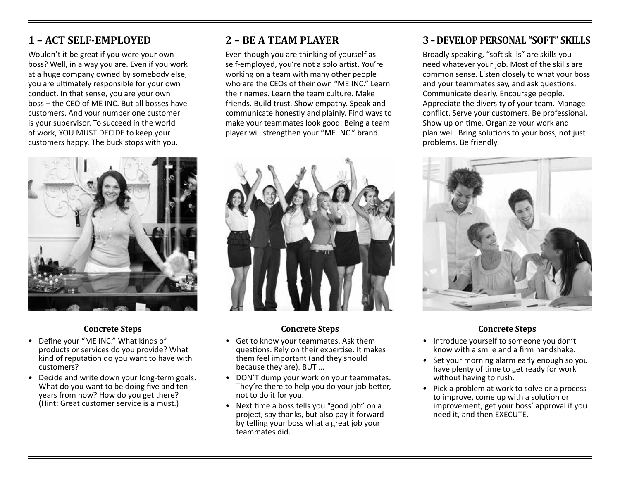## **1 – ACT SELF-EMPLOYED**

Wouldn't it be great if you were your own boss? Well, in a way you are. Even if you work at a huge company owned by somebody else, you are ultimately responsible for your own conduct. In that sense, you are your own boss – the CEO of ME INC. But all bosses have customers. And your number one customer is your supervisor. To succeed in the world of work, YOU MUST DECIDE to keep your customers happy. The buck stops with you.



#### **Concrete Steps**

- Define your "ME INC." What kinds of products or services do you provide? What kind of reputation do you want to have with customers?
- Decide and write down your long-term goals. What do you want to be doing five and ten years from now? How do you get there? (Hint: Great customer service is a must.)

## **2 – BE A TEAM PLAYER**

Even though you are thinking of yourself as self-employed, you're not a solo artist. You're working on a team with many other people who are the CEOs of their own "ME INC." Learn their names. Learn the team culture. Make friends. Build trust. Show empathy. Speak and communicate honestly and plainly. Find ways to make your teammates look good. Being a team player will strengthen your "ME INC." brand.



#### **Concrete Steps**

- Get to know your teammates. Ask them questions. Rely on their expertise. It makes them feel important (and they should because they are). BUT …
- DON'T dump your work on your teammates. They're there to help you do your job better, not to do it for you.
- Next time a boss tells you "good job" on a project, say thanks, but also pay it forward by telling your boss what a great job your teammates did.

### **3 – DEVELOP PERSONAL "SOFT" SKILLS**

Broadly speaking, "soft skills" are skills you need whatever your job. Most of the skills are common sense. Listen closely to what your boss and your teammates say, and ask questions. Communicate clearly. Encourage people. Appreciate the diversity of your team. Manage conflict. Serve your customers. Be professional. Show up on time. Organize your work and plan well. Bring solutions to your boss, not just problems. Be friendly.



#### **Concrete Steps**

- Introduce yourself to someone you don't know with a smile and a firm handshake.
- Set your morning alarm early enough so you have plenty of time to get ready for work without having to rush.
- Pick a problem at work to solve or a process to improve, come up with a solution or improvement, get your boss' approval if you need it, and then EXECUTE.